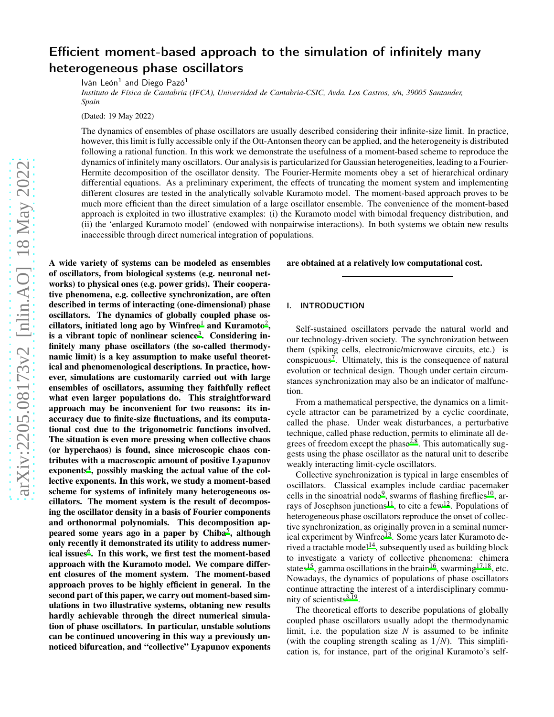# Efficient moment-based approach to the simulation of infinitely many heterogeneous phase oscillators

Iván León<sup>1</sup> and Diego Pazó<sup>1</sup>

*Instituto de Física de Cantabria (IFCA), Universidad de Cantabria-CSIC, Avda. Los Castros, s/n, 39005 Santander, Spain*

(Dated: 19 May 2022)

The dynamics of ensembles of phase oscillators are usually described considering their infinite-size limit. In practice, however, this limit is fully accessible only if the Ott-Antonsen theory can be applied, and the heterogeneity is distributed following a rational function. In this work we demonstrate the usefulness of a moment-based scheme to reproduce the dynamics of infinitely many oscillators. Our analysis is particularized for Gaussian heterogeneities, leading to a Fourier-Hermite decomposition of the oscillator density. The Fourier-Hermite moments obey a set of hierarchical ordinary differential equations. As a preliminary experiment, the effects of truncating the moment system and implementing different closures are tested in the analytically solvable Kuramoto model. The moment-based approach proves to be much more efficient than the direct simulation of a large oscillator ensemble. The convenience of the moment-based approach is exploited in two illustrative examples: (i) the Kuramoto model with bimodal frequency distribution, and (ii) the 'enlarged Kuramoto model' (endowed with nonpairwise interactions). In both systems we obtain new results inaccessible through direct numerical integration of populations.

arXiv:2205.08173v2 [nlin.AO] 18 May 2022 [arXiv:2205.08173v2 \[nlin.AO\] 18 May 2022](http://arxiv.org/abs/2205.08173v2)

A wide variety of systems can be modeled as ensembles of oscillators, from biological systems (e.g. neuronal networks) to physical ones (e.g. power grids). Their cooperative phenomena, e.g. collective synchronization, are often described in terms of interacting (one-dimensional) phase oscillators. The dynamics of globally coupled phase os-cillators, initiated long ago by Winfree<sup>[1](#page-10-0)</sup> and Kuramoto<sup>[2](#page-10-1)</sup>, is a vibrant topic of nonlinear science<sup>[3](#page-10-2)</sup>. Considering infinitely many phase oscillators (the so-called thermodynamic limit) is a key assumption to make useful theoretical and phenomenological descriptions. In practice, however, simulations are customarily carried out with large ensembles of oscillators, assuming they faithfully reflect what even larger populations do. This straightforward approach may be inconvenient for two reasons: its inaccuracy due to finite-size fluctuations, and its computational cost due to the trigonometric functions involved. The situation is even more pressing when collective chaos (or hyperchaos) is found, since microscopic chaos contributes with a macroscopic amount of positive Lyapunov exponents<sup>[4](#page-10-3)</sup>, possibly masking the actual value of the collective exponents. In this work, we study a moment-based scheme for systems of infinitely many heterogeneous oscillators. The moment system is the result of decomposing the oscillator density in a basis of Fourier components and orthonormal polynomials. This decomposition ap-peared some years ago in a paper by Chiba<sup>[5](#page-10-4)</sup>, although only recently it demonstrated its utility to address numer-ical issues<sup>[6](#page-10-5)</sup>. In this work, we first test the moment-based approach with the Kuramoto model. We compare different closures of the moment system. The moment-based approach proves to be highly efficient in general. In the second part of this paper, we carry out moment-based simulations in two illustrative systems, obtaning new results hardly achievable through the direct numerical simulation of phase oscillators. In particular, unstable solutions can be continued uncovering in this way a previously unnoticed bifurcation, and "collective" Lyapunov exponents are obtained at a relatively low computational cost.

#### I. INTRODUCTION

Self-sustained oscillators pervade the natural world and our technology-driven society. The synchronization between them (spiking cells, electronic/microwave circuits, etc.) is conspicuous<sup>[7](#page-10-6)</sup>. Ultimately, this is the consequence of natural evolution or technical design. Though under certain circumstances synchronization may also be an indicator of malfunction.

From a mathematical perspective, the dynamics on a limitcycle attractor can be parametrized by a cyclic coordinate, called the phase. Under weak disturbances, a perturbative technique, called phase reduction, permits to eliminate all degrees of freedom except the phase<sup> $2,8$  $2,8$ </sup>. This automatically suggests using the phase oscillator as the natural unit to describe weakly interacting limit-cycle oscillators.

Collective synchronization is typical in large ensembles of oscillators. Classical examples include cardiac pacemaker cells in the sinoatrial node<sup>[9](#page-10-8)</sup>, swarms of flashing fireflies<sup>[10](#page-10-9)</sup>, ar-rays of Josephson junctions<sup>[11](#page-10-10)</sup>, to cite a few<sup>[12](#page-10-11)</sup>. Populations of heterogeneous phase oscillators reproduce the onset of collective synchronization, as originally proven in a seminal numer-ical experiment by Winfree<sup>[13](#page-10-12)</sup>. Some years later Kuramoto de-rived a tractable model<sup>[14](#page-11-0)</sup>, subsequently used as building block to investigate a variety of collective phenomena: chimera states<sup>[15](#page-11-1)</sup>, gamma oscillations in the brain<sup>[16](#page-11-2)</sup>, swarming<sup>[17](#page-11-3)[,18](#page-11-4)</sup>, etc. Nowadays, the dynamics of populations of phase oscillators continue attracting the interest of a interdisciplinary community of scientists $3,19$  $3,19$ .

The theoretical efforts to describe populations of globally coupled phase oscillators usually adopt the thermodynamic limit, i.e. the population size *N* is assumed to be infinite (with the coupling strength scaling as  $1/N$ ). This simplification is, for instance, part of the original Kuramoto's self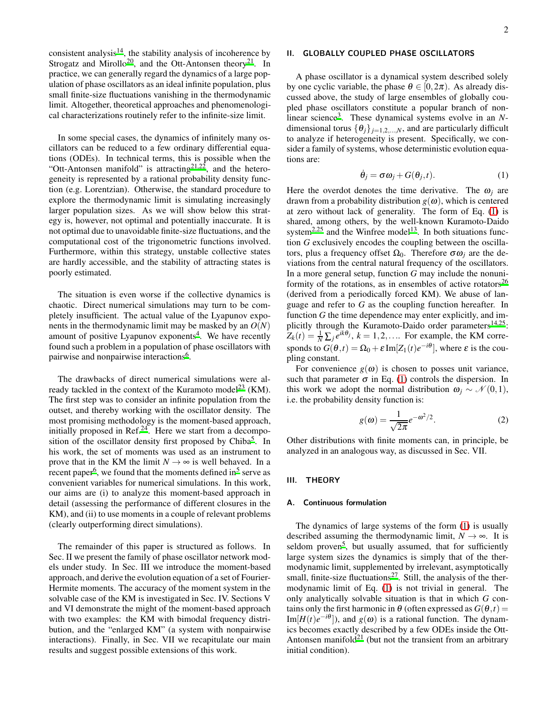consistent analysis<sup>[14](#page-11-0)</sup>, the stability analysis of incoherence by Strogatz and Mirollo<sup>[20](#page-11-6)</sup>, and the Ott-Antonsen theory<sup>[21](#page-11-7)</sup>. In practice, we can generally regard the dynamics of a large population of phase oscillators as an ideal infinite population, plus small finite-size fluctuations vanishing in the thermodynamic limit. Altogether, theoretical approaches and phenomenological characterizations routinely refer to the infinite-size limit.

In some special cases, the dynamics of infinitely many oscillators can be reduced to a few ordinary differential equations (ODEs). In technical terms, this is possible when the "Ott-Antonsen manifold" is attracting  $2^{1,22}$  $2^{1,22}$  $2^{1,22}$ , and the heterogeneity is represented by a rational probability density function (e.g. Lorentzian). Otherwise, the standard procedure to explore the thermodynamic limit is simulating increasingly larger population sizes. As we will show below this strategy is, however, not optimal and potentially inaccurate. It is not optimal due to unavoidable finite-size fluctuations, and the computational cost of the trigonometric functions involved. Furthermore, within this strategy, unstable collective states are hardly accessible, and the stability of attracting states is poorly estimated.

The situation is even worse if the collective dynamics is chaotic. Direct numerical simulations may turn to be completely insufficient. The actual value of the Lyapunov exponents in the thermodynamic limit may be masked by an *O*(*N*) amount of positive Lyapunov exponents<sup>[4](#page-10-3)</sup>. We have recently found such a problem in a population of phase oscillators with pairwise and nonpairwise interactions<sup>[6](#page-10-5)</sup>.

The drawbacks of direct numerical simulations were al-ready tackled in the context of the Kuramoto model<sup>[23](#page-11-9)</sup> (KM). The first step was to consider an infinite population from the outset, and thereby working with the oscillator density. The most promising methodology is the moment-based approach, initially proposed in  $\text{Ref.}^{24}$  $\text{Ref.}^{24}$  $\text{Ref.}^{24}$ . Here we start from a decompo-sition of the oscillator density first proposed by Chiba<sup>[5](#page-10-4)</sup>. In his work, the set of moments was used as an instrument to prove that in the KM the limit  $N \rightarrow \infty$  is well behaved. In a recent paper<sup>[6](#page-10-5)</sup>, we fou[n](#page-10-4)d that the moments defined in<sup>5</sup> serve as convenient variables for numerical simulations. In this work, our aims are (i) to analyze this moment-based approach in detail (assessing the performance of different closures in the KM), and (ii) to use moments in a couple of relevant problems (clearly outperforming direct simulations).

The remainder of this paper is structured as follows. In Sec. II we present the family of phase oscillator network models under study. In Sec. III we introduce the moment-based approach, and derive the evolution equation of a set of Fourier-Hermite moments. The accuracy of the moment system in the solvable case of the KM is investigated in Sec. IV. Sections V and VI demonstrate the might of the moment-based approach with two examples: the KM with bimodal frequency distribution, and the "enlarged KM" (a system with nonpairwise interactions). Finally, in Sec. VII we recapitulate our main results and suggest possible extensions of this work.

# II. GLOBALLY COUPLED PHASE OSCILLATORS

A phase oscillator is a dynamical system described solely by one cyclic variable, the phase  $\theta \in [0, 2\pi)$ . As already discussed above, the study of large ensembles of globally coupled phase oscillators constitute a popular branch of non-linear science<sup>[3](#page-10-2)</sup>. These dynamical systems evolve in an *N*dimensional torus  $\{\theta_i\}_{i=1,2,...,N}$ , and are particularly difficult to analyze if heterogeneity is present. Specifically, we consider a family of systems, whose deterministic evolution equations are:

<span id="page-1-0"></span>
$$
\dot{\theta}_j = \sigma \omega_j + G(\theta_j, t). \tag{1}
$$

Here the overdot denotes the time derivative. The  $\omega_i$  are drawn from a probability distribution  $g(\omega)$ , which is centered at zero without lack of generality. The form of Eq. [\(1\)](#page-1-0) is shared, among others, by the well-known Kuramoto-Daido system<sup>[2](#page-10-1)[,25](#page-11-11)</sup> and the Winfree model<sup>[13](#page-10-12)</sup>. In both situations function *G* exclusively encodes the coupling between the oscillators, plus a frequency offset  $Ω<sub>0</sub>$ . Therefore  $σω<sub>j</sub>$  are the deviations from the central natural frequency of the oscillators. In a more general setup, function *G* may include the nonuni-formity of the rotations, as in ensembles of active rotators<sup>[26](#page-11-12)</sup> (derived from a periodically forced KM). We abuse of language and refer to *G* as the coupling function hereafter. In function *G* the time dependence may enter explicitly, and im-plicitly through the Kuramoto-Daido order parameters<sup>[14](#page-11-0)[,25](#page-11-11)</sup>:  $Z_k(t) = \frac{1}{N} \sum_j e^{ik\theta_j}$ ,  $k = 1, 2, \dots$  For example, the KM corresponds to  $G(\theta,t) = \Omega_0 + \varepsilon \operatorname{Im}[Z_1(t)e^{-i\theta}]$ , where  $\varepsilon$  is the coupling constant.

For convenience  $g(\omega)$  is chosen to posses unit variance, such that parameter  $\sigma$  in Eq. [\(1\)](#page-1-0) controls the dispersion. In this work we adopt the normal distribution  $\omega_i \sim \mathcal{N}(0,1)$ , i.e. the probability density function is:

<span id="page-1-1"></span>
$$
g(\omega) = \frac{1}{\sqrt{2\pi}} e^{-\omega^2/2}.
$$
 (2)

Other distributions with finite moments can, in principle, be analyzed in an analogous way, as discussed in Sec. VII.

# III. THEORY

# A. Continuous formulation

The dynamics of large systems of the form [\(1\)](#page-1-0) is usually described assuming the thermodynamic limit,  $N \rightarrow \infty$ . It is seldom proven<sup>[5](#page-10-4)</sup>, but usually assumed, that for sufficiently large system sizes the dynamics is simply that of the thermodynamic limit, supplemented by irrelevant, asymptotically small, finite-size fluctuations<sup>[27](#page-11-13)</sup>. Still, the analysis of the thermodynamic limit of Eq. [\(1\)](#page-1-0) is not trivial in general. The only analytically solvable situation is that in which *G* contains only the first harmonic in  $\theta$  (often expressed as  $G(\theta,t)$  =  $\text{Im}[H(t)e^{-i\theta}]$ ), and  $g(\omega)$  is a rational function. The dynamics becomes exactly described by a few ODEs inside the Ott-Antonsen manifold<sup>[21](#page-11-7)</sup> (but not the transient from an arbitrary initial condition).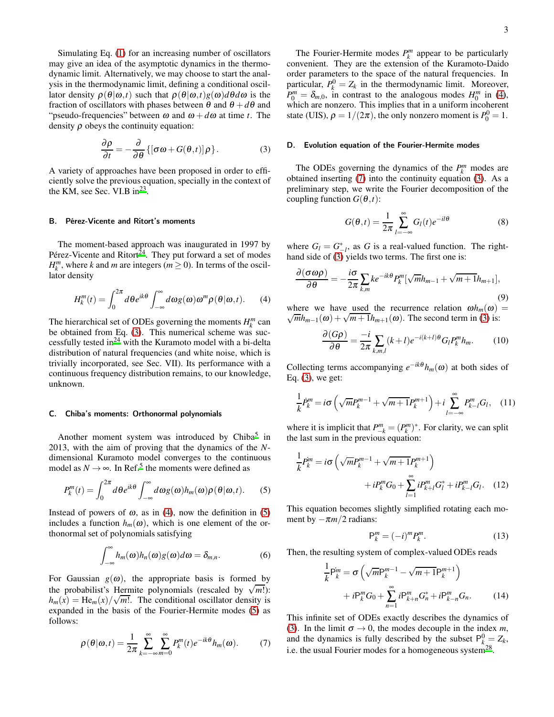Simulating Eq. [\(1\)](#page-1-0) for an increasing number of oscillators may give an idea of the asymptotic dynamics in the thermodynamic limit. Alternatively, we may choose to start the analysis in the thermodynamic limit, defining a conditional oscillator density  $\rho(\theta|\omega,t)$  such that  $\rho(\theta|\omega,t)g(\omega)d\theta d\omega$  is the fraction of oscillators with phases between  $\theta$  and  $\theta + d\theta$  and "pseudo-frequencies" between  $\omega$  and  $\omega + d\omega$  at time *t*. The density  $\rho$  obeys the continuity equation:

<span id="page-2-0"></span>
$$
\frac{\partial \rho}{\partial t} = -\frac{\partial}{\partial \theta} \{ [\sigma \omega + G(\theta, t)] \rho \}.
$$
 (3)

A variety of approaches have been proposed in order to efficiently solve the previous equation, specially in the context of the KM, see Sec. VI.B  $in^{23}$  $in^{23}$  $in^{23}$ .

#### B. Pérez-Vicente and Ritort's moments

The moment-based approach was inaugurated in 1997 by Pérez-Vicente and Ritort<sup>[24](#page-11-10)</sup>. They put forward a set of modes  $H_k^m$ , where *k* and *m* are integers ( $m \ge 0$ ). In terms of the oscillator density

<span id="page-2-1"></span>
$$
H_k^m(t) = \int_0^{2\pi} d\theta e^{ik\theta} \int_{-\infty}^{\infty} d\omega g(\omega) \omega^m \rho(\theta|\omega, t). \tag{4}
$$

The hierarchical set of ODEs governing the moments  $H_k^m$  can be obtained from Eq. [\(3\)](#page-2-0). This numerical scheme was successfully tested in $^{24}$  $^{24}$  $^{24}$  with the Kuramoto model with a bi-delta distribution of natural frequencies (and white noise, which is trivially incorporated, see Sec. VII). Its performance with a continuous frequency distribution remains, to our knowledge, unknown.

# C. Chiba's moments: Orthonormal polynomials

Another moment system was introduced by Chiba<sup>[5](#page-10-4)</sup> in 2013, with the aim of proving that the dynamics of the *N*dimensional Kuramoto model converges to the continuous model as  $N \rightarrow \infty$ . In Ref.<sup>[5](#page-10-4)</sup> the moments were defined as

<span id="page-2-2"></span>
$$
P_k^m(t) = \int_0^{2\pi} d\theta e^{ik\theta} \int_{-\infty}^{\infty} d\omega g(\omega) h_m(\omega) \rho(\theta|\omega, t). \tag{5}
$$

Instead of powers of  $\omega$ , as in [\(4\)](#page-2-1), now the definition in [\(5\)](#page-2-2) includes a function  $h_m(\omega)$ , which is one element of the orthonormal set of polynomials satisfying

$$
\int_{-\infty}^{\infty} h_m(\omega) h_n(\omega) g(\omega) d\omega = \delta_{m,n}.
$$
 (6)

For Gaussian  $g(\omega)$ , the appropriate basis is formed by the probabilist's Hermite polynomials (rescaled by  $\sqrt{m!}$ ):  $h_m(x) = \text{He}_m(x)/\sqrt{m!}$ . The conditional oscillator density is expanded in the basis of the Fourier-Hermite modes [\(5\)](#page-2-2) as follows:

<span id="page-2-3"></span>
$$
\rho(\theta|\omega,t) = \frac{1}{2\pi} \sum_{k=-\infty}^{\infty} \sum_{m=0}^{\infty} P_k^m(t) e^{-ik\theta} h_m(\omega).
$$
 (7)

The Fourier-Hermite modes  $P_k^m$  appear to be particularly convenient. They are the extension of the Kuramoto-Daido order parameters to the space of the natural frequencies. In particular,  $P_k^0 = Z_k$  in the thermodynamic limit. Moreover,  $P_0^m = \delta_{m,0}$ , in contrast to the analogous modes  $H_0^m$  in [\(4\)](#page-2-1), which are nonzero. This implies that in a uniform incoherent state (UIS),  $\rho = 1/(2\pi)$ , the only nonzero moment is  $P_0^0 = 1$ .

#### D. Evolution equation of the Fourier-Hermite modes

The ODEs governing the dynamics of the  $P_k^m$  modes are obtained inserting [\(7\)](#page-2-3) into the continuity equation [\(3\)](#page-2-0). As a preliminary step, we write the Fourier decomposition of the coupling function  $G(\theta,t)$ :

$$
G(\theta, t) = \frac{1}{2\pi} \sum_{l=-\infty}^{\infty} G_l(t) e^{-il\theta}
$$
 (8)

where  $G_l = G_{-l}^*$ , as *G* is a real-valued function. The righthand side of [\(3\)](#page-2-0) yields two terms. The first one is:

$$
\frac{\partial(\sigma\omega\rho)}{\partial\theta} = -\frac{i\sigma}{2\pi} \sum_{k,m} k e^{-ik\theta} P_k^m [\sqrt{m}h_{m-1} + \sqrt{m+1}h_{m+1}],
$$
\n(9)

where we have used the recurrence relation  $\omega h_m(\omega)$  =  $\sqrt{m}h_{m-1}(\omega) + \sqrt{m+1}h_{m+1}(\omega)$ . The second term in [\(3\)](#page-2-0) is:

$$
\frac{\partial (G\rho)}{\partial \theta} = \frac{-i}{2\pi} \sum_{k,m,l} (k+l) e^{-i(k+l)\theta} G_l P_k^m h_m.
$$
 (10)

Collecting terms accompanying  $e^{-ik\theta}h_m(\omega)$  at both sides of Eq. [\(3\)](#page-2-0), we get:

$$
\frac{1}{k}P_k^m = i\sigma \left(\sqrt{m}P_k^{m-1} + \sqrt{m+1}P_k^{m+1}\right) + i\sum_{l=-\infty}^{\infty} P_{k-l}^m G_l, \quad (11)
$$

where it is implicit that  $P_{-k}^m = (P_k^m)^*$ . For clarity, we can split the last sum in the previous equation:

$$
\frac{1}{k}P_k^m = i\sigma \left( \sqrt{m}P_k^{m-1} + \sqrt{m+1}P_k^{m+1} \right) + iP_k^m G_0 + \sum_{l=1}^{\infty} iP_{k+l}^m G_l^* + iP_{k-l}^m G_l. \quad (12)
$$

This equation becomes slightly simplified rotating each moment by  $-\pi m/2$  radians:

$$
\mathsf{P}_k^m = (-i)^m P_k^m. \tag{13}
$$

Then, the resulting system of complex-valued ODEs reads

1

<span id="page-2-4"></span>
$$
\frac{1}{k} \mathbf{P}_{k}^{m} = \sigma \left( \sqrt{m} \mathbf{P}_{k}^{m-1} - \sqrt{m+1} \mathbf{P}_{k}^{m+1} \right) \n+ i \mathbf{P}_{k}^{m} G_{0} + \sum_{n=1}^{\infty} i \mathbf{P}_{k+n}^{m} G_{n}^{*} + i \mathbf{P}_{k-n}^{m} G_{n}.
$$
\n(14)

This infinite set of ODEs exactly describes the dynamics of [\(3\)](#page-2-0). In the limit  $\sigma \rightarrow 0$ , the modes decouple in the index *m*, and the dynamics is fully described by the subset  $P_k^0 = Z_k$ , i.e. the usual Fourier modes for a homogeneous system<sup>[28](#page-11-14)</sup>.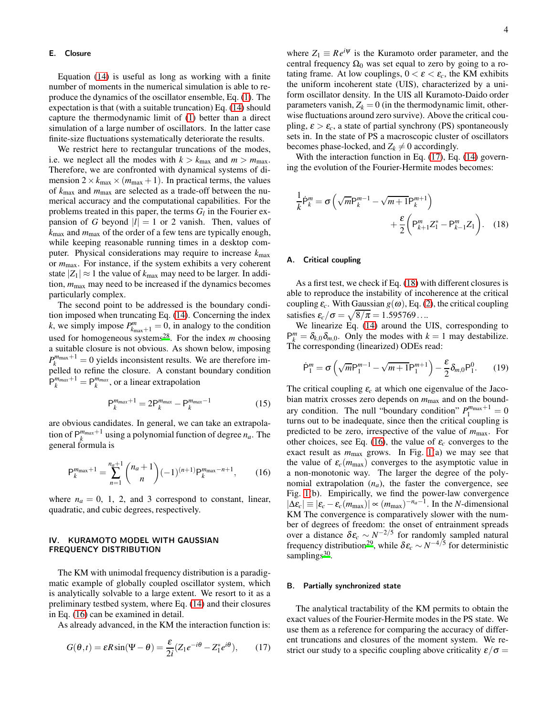#### E. Closure

Equation [\(14\)](#page-2-4) is useful as long as working with a finite number of moments in the numerical simulation is able to reproduce the dynamics of the oscillator ensemble, Eq. [\(1\)](#page-1-0). The expectation is that (with a suitable truncation) Eq. [\(14\)](#page-2-4) should capture the thermodynamic limit of [\(1\)](#page-1-0) better than a direct simulation of a large number of oscillators. In the latter case finite-size fluctuations systematically deteriorate the results.

We restrict here to rectangular truncations of the modes, i.e. we neglect all the modes with  $k > k_{\text{max}}$  and  $m > m_{\text{max}}$ . Therefore, we are confronted with dynamical systems of dimension  $2 \times k_{\text{max}} \times (m_{\text{max}} + 1)$ . In practical terms, the values of *k*max and *m*max are selected as a trade-off between the numerical accuracy and the computational capabilities. For the problems treated in this paper, the terms  $G_l$  in the Fourier expansion of *G* beyond  $|l| = 1$  or 2 vanish. Then, values of  $k_{\text{max}}$  and  $m_{\text{max}}$  of the order of a few tens are typically enough, while keeping reasonable running times in a desktop computer. Physical considerations may require to increase  $k_{\text{max}}$ or *m*max. For instance, if the system exhibits a very coherent state  $|Z_1| \approx 1$  the value of  $k_{\text{max}}$  may need to be larger. In addition, *m*max may need to be increased if the dynamics becomes particularly complex.

The second point to be addressed is the boundary condition imposed when truncating Eq. [\(14\)](#page-2-4). Concerning the index *k*, we simply impose  $P_{k_{\text{max}}+1}^m = 0$ , in analogy to the condition used for homogeneous systems<sup>[28](#page-11-14)</sup>. For the index *m* choosing a suitable closure is not obvious. As shown below, imposing  $P_k^{m_{\text{max}}+1} = 0$  yields inconsistent results. We are therefore impelled to refine the closure. A constant boundary condition  $P_k^{m_{max}+1} = P_k^{m_{max}}$ , or a linear extrapolation

<span id="page-3-3"></span>
$$
P_k^{m_{max}+1} = 2P_k^{m_{max}} - P_k^{m_{max}-1}
$$
 (15)

are obvious candidates. In general, we can take an extrapolation of  $P_k^{m_{max}+1}$  using a polynomial function of degree  $n_a$ . The general formula is

<span id="page-3-0"></span>
$$
P_k^{m_{\text{max}}+1} = \sum_{n=1}^{n_a+1} \binom{n_a+1}{n} (-1)^{(n+1)} P_k^{m_{\text{max}}-n+1},\tag{16}
$$

where  $n_a = 0$ , 1, 2, and 3 correspond to constant, linear, quadratic, and cubic degrees, respectively.

# IV. KURAMOTO MODEL WITH GAUSSIAN FREQUENCY DISTRIBUTION

The KM with unimodal frequency distribution is a paradigmatic example of globally coupled oscillator system, which is analytically solvable to a large extent. We resort to it as a preliminary testbed system, where Eq. [\(14\)](#page-2-4) and their closures in Eq. [\(16\)](#page-3-0) can be examined in detail.

As already advanced, in the KM the interaction function is:

<span id="page-3-1"></span>
$$
G(\theta, t) = \varepsilon R \sin(\Psi - \theta) = \frac{\varepsilon}{2i} (Z_1 e^{-i\theta} - Z_1^* e^{i\theta}), \qquad (17)
$$

where  $Z_1 \equiv Re^{i\psi}$  is the Kuramoto order parameter, and the central frequency  $\Omega_0$  was set equal to zero by going to a rotating frame. At low couplings,  $0 < \varepsilon < \varepsilon_c$ , the KM exhibits the uniform incoherent state (UIS), characterized by a uniform oscillator density. In the UIS all Kuramoto-Daido order parameters vanish,  $Z_k = 0$  (in the thermodynamic limit, otherwise fluctuations around zero survive). Above the critical coupling,  $\varepsilon > \varepsilon_c$ , a state of partial synchrony (PS) spontaneously sets in. In the state of PS a macroscopic cluster of oscillators becomes phase-locked, and  $Z_k \neq 0$  accordingly.

With the interaction function in Eq. [\(17\)](#page-3-1), Eq. [\(14\)](#page-2-4) governing the evolution of the Fourier-Hermite modes becomes:

<span id="page-3-2"></span>
$$
\frac{1}{k}\dot{\mathsf{P}}_{k}^{m} = \sigma \left( \sqrt{m} \mathsf{P}_{k}^{m-1} - \sqrt{m+1} \mathsf{P}_{k}^{m+1} \right) + \frac{\varepsilon}{2} \left( \mathsf{P}_{k+1}^{m} Z_{1}^{*} - \mathsf{P}_{k-1}^{m} Z_{1} \right). \tag{18}
$$

# A. Critical coupling

As a first test, we check if Eq. [\(18\)](#page-3-2) with different closures is able to reproduce the instability of incoherence at the critical coupling  $\varepsilon_c$ . With Gaussian  $g(\omega)$ , Eq. [\(2\)](#page-1-1), the critical coupling satisfies  $\varepsilon_c/\sigma = \sqrt{8/\pi} = 1.595769...$ 

We linearize Eq. [\(14\)](#page-2-4) around the UIS, corresponding to  $P_k^m = \delta_{k,0} \delta_{m,0}$ . Only the modes with  $k = 1$  may destabilize. The corresponding (linearized) ODEs read:

$$
\dot{P}_1^m = \sigma \left( \sqrt{m} P_1^{m-1} - \sqrt{m+1} P_1^{m+1} \right) - \frac{\varepsilon}{2} \delta_{m,0} P_1^0. \tag{19}
$$

The critical coupling  $\varepsilon_c$  at which one eigenvalue of the Jacobian matrix crosses zero depends on  $m_{\text{max}}$  and on the boundary condition. The null "boundary condition"  $P_1^{m_{\text{max}}+1} = 0$ turns out to be inadequate, since then the critical coupling is predicted to be zero, irrespective of the value of  $m_{\text{max}}$ . For other choices, see Eq. [\(16\)](#page-3-0), the value of  $\varepsilon_c$  converges to the exact result as  $m_{\text{max}}$  grows. In Fig. [1\(](#page-4-0)a) we may see that the value of  $\varepsilon_c(m_{\text{max}})$  converges to the asymptotic value in a non-monotonic way. The larger the degree of the polynomial extrapolation  $(n_a)$ , the faster the convergence, see Fig. [1\(](#page-4-0)b). Empirically, we find the power-law convergence  $|\Delta \varepsilon_c| \equiv |\varepsilon_c - \varepsilon_c(m_{\text{max}})| \propto (m_{\text{max}})^{-n_a-1}$ . In the *N*-dimensional KM The convergence is comparatively slower with the number of degrees of freedom: the onset of entrainment spreads over a distance  $\delta \varepsilon_c \sim N^{-2/5}$  for randomly sampled natural frequency distribution<sup>[29](#page-11-15)</sup>, while  $\delta \varepsilon_c \sim N^{-4/5}$  for deterministic samplings<sup>[30](#page-11-16)</sup>.

#### B. Partially synchronized state

The analytical tractability of the KM permits to obtain the exact values of the Fourier-Hermite modes in the PS state. We use them as a reference for comparing the accuracy of different truncations and closures of the moment system. We restrict our study to a specific coupling above criticality  $\varepsilon/\sigma =$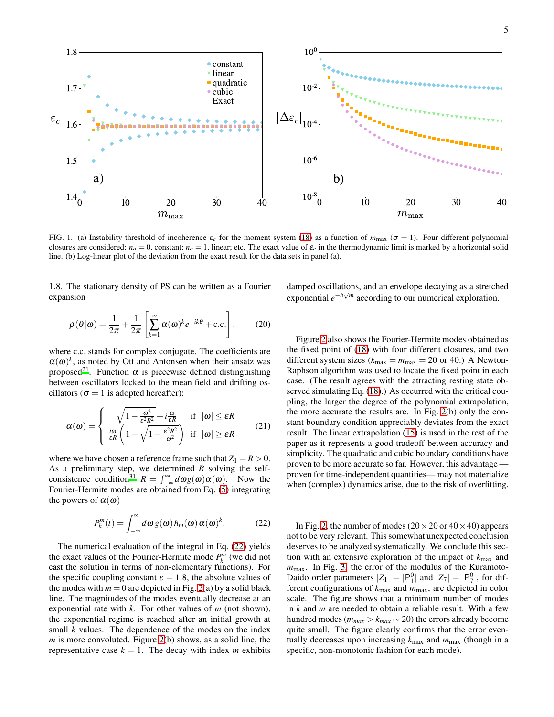

<span id="page-4-0"></span>FIG. 1. (a) Instability threshold of incoherence  $\varepsilon_c$  for the moment system [\(18\)](#page-3-2) as a function of  $m_{\text{max}}$  ( $\sigma = 1$ ). Four different polynomial closures are considered:  $n_a = 0$ , constant;  $n_a = 1$ , linear; etc. The exact value of  $\varepsilon_c$  in the thermodynamic limit is marked by a horizontal solid line. (b) Log-linear plot of the deviation from the exact result for the data sets in panel (a).

1.8. The stationary density of PS can be written as a Fourier expansion

$$
\rho(\theta|\omega) = \frac{1}{2\pi} + \frac{1}{2\pi} \left[ \sum_{k=1}^{\infty} \alpha(\omega)^k e^{-ik\theta} + \text{c.c.} \right],\qquad(20)
$$

where c.c. stands for complex conjugate. The coefficients are  $\alpha(\omega)^k$ , as noted by Ott and Antonsen when their ansatz was proposed<sup>[21](#page-11-7)</sup>. Function  $\alpha$  is piecewise defined distinguishing between oscillators locked to the mean field and drifting oscillators ( $\sigma = 1$  is adopted hereafter):

$$
\alpha(\omega) = \begin{cases} \sqrt{1 - \frac{\omega^2}{\varepsilon^2 R^2} + i \frac{\omega}{\varepsilon R}} & \text{if } |\omega| \le \varepsilon R \\ \frac{i\omega}{\varepsilon R} \left(1 - \sqrt{1 - \frac{\varepsilon^2 R^2}{\omega^2}}\right) & \text{if } |\omega| \ge \varepsilon R \end{cases}
$$
(21)

where we have chosen a reference frame such that  $Z_1 = R > 0$ . As a preliminary step, we determined *R* solving the self-consistence condition<sup>[31](#page-11-17)</sup>  $R = \int_{-\infty}^{\infty} d\omega g(\omega) \alpha(\omega)$ . Now the Fourier-Hermite modes are obtained from Eq. [\(5\)](#page-2-2) integrating the powers of  $\alpha(\omega)$ 

<span id="page-4-1"></span>
$$
P_k^m(t) = \int_{-\infty}^{\infty} d\omega \, g(\omega) \, h_m(\omega) \, \alpha(\omega)^k. \tag{22}
$$

The numerical evaluation of the integral in Eq. [\(22\)](#page-4-1) yields the exact values of the Fourier-Hermite mode  $P_k^m$  (we did not cast the solution in terms of non-elementary functions). For the specific coupling constant  $\varepsilon = 1.8$ , the absolute values of the modes with  $m = 0$  are depicted in Fig. [2\(](#page-5-0)a) by a solid black line. The magnitudes of the modes eventually decrease at an exponential rate with *k*. For other values of *m* (not shown), the exponential regime is reached after an initial growth at small *k* values. The dependence of the modes on the index *m* is more convoluted. Figure [2\(](#page-5-0)b) shows, as a solid line, the representative case  $k = 1$ . The decay with index *m* exhibits

damped oscillations, and an envelope decaying as a stretched exponential  $e^{-b\sqrt{m}}$  according to our numerical exploration.

Figure [2](#page-5-0) also shows the Fourier-Hermite modes obtained as the fixed point of [\(18\)](#page-3-2) with four different closures, and two different system sizes ( $k_{\text{max}} = m_{\text{max}} = 20$  or 40.) A Newton-Raphson algorithm was used to locate the fixed point in each case. (The result agrees with the attracting resting state observed simulating Eq. [\(18\)](#page-3-2).) As occurred with the critical coupling, the larger the degree of the polynomial extrapolation, the more accurate the results are. In Fig. [2\(](#page-5-0)b) only the constant boundary condition appreciably deviates from the exact result. The linear extrapolation [\(15\)](#page-3-3) is used in the rest of the paper as it represents a good tradeoff between accuracy and simplicity. The quadratic and cubic boundary conditions have proven to be more accurate so far. However, this advantage proven for time-independent quantities— may not materialize when (complex) dynamics arise, due to the risk of overfitting.

In Fig. [2,](#page-5-0) the number of modes ( $20 \times 20$  or  $40 \times 40$ ) appears not to be very relevant. This somewhat unexpected conclusion deserves to be analyzed systematically. We conclude this section with an extensive exploration of the impact of *k*max and *m*max. In Fig. [3,](#page-5-1) the error of the modulus of the Kuramoto-Daido order parameters  $|Z_1| = |P_1^0|$  and  $|Z_7| = |P_7^0|$ , for different configurations of *k*max and *m*max, are depicted in color scale. The figure shows that a minimum number of modes in *k* and *m* are needed to obtain a reliable result. With a few hundred modes ( $m_{max} > k_{max} \sim 20$ ) the errors already become quite small. The figure clearly confirms that the error eventually decreases upon increasing  $k_{\text{max}}$  and  $m_{\text{max}}$  (though in a specific, non-monotonic fashion for each mode).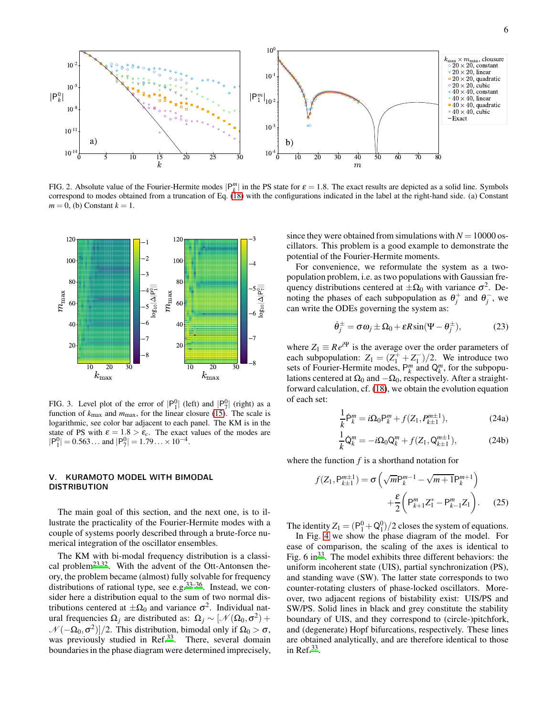

<span id="page-5-0"></span>FIG. 2. Absolute value of the Fourier-Hermite modes  $|P_k^m|$  in the PS state for  $\varepsilon = 1.8$ . The exact results are depicted as a solid line. Symbols correspond to modes obtained from a truncation of Eq. [\(18\)](#page-3-2) with the configurations indicated in the label at the right-hand side. (a) Constant  $m = 0$ , (b) Constant  $k = 1$ .



<span id="page-5-1"></span>FIG. 3. Level plot of the error of  $|P_1^0|$  (left) and  $|P_7^0|$  (right) as a function of  $k_{\text{max}}$  and  $m_{\text{max}}$ , for the linear closure [\(15\)](#page-3-3). The scale is logarithmic, see color bar adjacent to each panel. The KM is in the state of PS with  $\varepsilon = 1.8 > \varepsilon_c$ . The exact values of the modes are  $|P_1^0| = 0.563...$  and  $|P_7^0| = 1.79... \times 10^{-4}.$ 

# V. KURAMOTO MODEL WITH BIMODAL DISTRIBUTION

The main goal of this section, and the next one, is to illustrate the practicality of the Fourier-Hermite modes with a couple of systems poorly described through a brute-force numerical integration of the oscillator ensembles.

The KM with bi-modal frequency distribution is a classi-cal problem<sup>[23](#page-11-9)[,32](#page-11-18)</sup>. With the advent of the Ott-Antonsen theory, the problem became (almost) fully solvable for frequency distributions of rational type, see e.g. $33-36$  $33-36$ . Instead, we consider here a distribution equal to the sum of two normal distributions centered at  $\pm \Omega_0$  and variance  $\sigma^2$ . Individual natural frequencies  $\Omega_j$  are distributed as:  $\Omega_j \sim [\mathcal{N}(\Omega_0, \sigma^2) +$  $\mathcal{N}(-\Omega_0, \sigma^2)/2$ . This distribution, bimodal only if  $\Omega_0 > \sigma$ , was previously studied in Ref.<sup>[33](#page-11-19)</sup>. There, several domain boundaries in the phase diagram were determined imprecisely,

since they were obtained from simulations with  $N = 10000$  oscillators. This problem is a good example to demonstrate the potential of the Fourier-Hermite moments.

For convenience, we reformulate the system as a twopopulation problem, i.e. as two populations with Gaussian frequency distributions centered at  $\pm \Omega_0$  with variance  $\sigma^2$ . Denoting the phases of each subpopulation as  $\theta_j^+$  and  $\theta_j^-$ , we can write the ODEs governing the system as:

<span id="page-5-3"></span>
$$
\dot{\theta}_j^{\pm} = \sigma \omega_j \pm \Omega_0 + \varepsilon R \sin(\Psi - \theta_j^{\pm}), \qquad (23)
$$

where  $Z_1 \equiv Re^{i\Psi}$  is the average over the order parameters of each subpopulation:  $Z_1 = (Z_1^+ + Z_1^-)/2$ . We introduce two sets of Fourier-Hermite modes,  $P_k^m$  and  $Q_k^m$ , for the subpopulations centered at  $\Omega_0$  and  $-\Omega_0$ , respectively. After a straightforward calculation, cf. [\(18\)](#page-3-2), we obtain the evolution equation of each set:

<span id="page-5-2"></span>
$$
\frac{1}{k}\dot{\mathsf{P}}_k^m = i\Omega_0 \mathsf{P}_k^m + f(Z_1, P_{k\pm 1}^{m\pm 1}),\tag{24a}
$$

$$
\frac{1}{k}\dot{Q}_k^m = -i\Omega_0 Q_k^m + f(Z_1, Q_{k+1}^{m+1}),\tag{24b}
$$

where the function *f* is a shorthand notation for

$$
f(Z_1, P_{k\pm 1}^{m\pm 1}) = \sigma \left( \sqrt{m} P_k^{m-1} - \sqrt{m+1} P_k^{m+1} \right) + \frac{\varepsilon}{2} \left( P_{k+1}^m Z_1^* - P_{k-1}^m Z_1 \right). \tag{25}
$$

The identity  $Z_1 = (P_1^0 + Q_1^0)/2$  closes the system of equations.

In Fig. [4](#page-6-0) we show the phase diagram of the model. For ease of comparison, the scaling of the axes is identical to Fig.  $6 \text{ in}^{33}$  $6 \text{ in}^{33}$  $6 \text{ in}^{33}$ . The model exhibits three different behaviors: the uniform incoherent state (UIS), partial synchronization (PS), and standing wave (SW). The latter state corresponds to two counter-rotating clusters of phase-locked oscillators. Moreover, two adjacent regions of bistability exist: UIS/PS and SW/PS. Solid lines in black and grey constitute the stability boundary of UIS, and they correspond to (circle-)pitchfork, and (degenerate) Hopf bifurcations, respectively. These lines are obtained analytically, and are therefore identical to those in Ref. $33$ .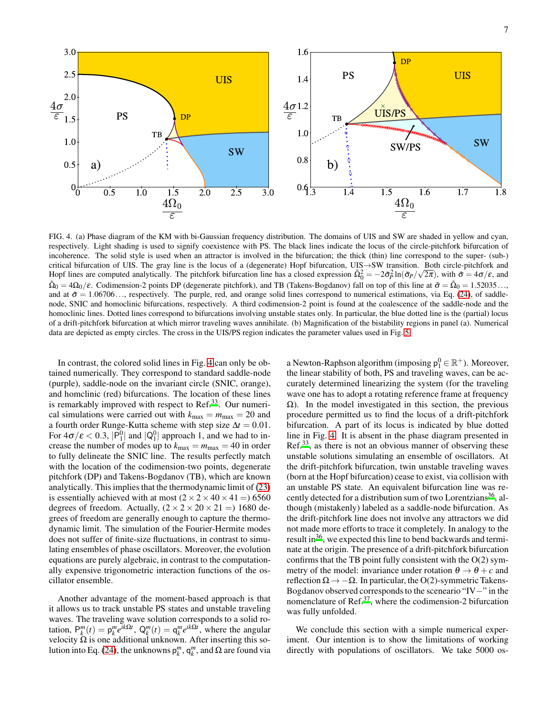

<span id="page-6-0"></span>FIG. 4. (a) Phase diagram of the KM with bi-Gaussian frequency distribution. The domains of UIS and SW are shaded in yellow and cyan, respectively. Light shading is used to signify coexistence with PS. The black lines indicate the locus of the circle-pitchfork bifurcation of incoherence. The solid style is used when an attractor is involved in the bifurcation; the thick (thin) line correspond to the super- (sub-) critical bifurcation of UIS. The gray line is the locus of a (degenerate) Hopf bifurcation, UIS→SW transition. Both circle-pitchfork and Hopf lines are computed analytically. The pitchfork bifurcation line has a closed expression  $\tilde{\Omega}_0^2 = -2\tilde{\sigma}_P^2 \ln(\tilde{\sigma}_P/\sqrt{2\pi})$ , with  $\tilde{\sigma} = 4\sigma/\epsilon$ , and  $\tilde{\Omega}_0 = 4\Omega_0/\varepsilon$ . Codimension-2 points DP (degenerate pitchfork), and TB (Takens-Bogdanov) fall on top of this line at  $\tilde{\sigma} = \tilde{\Omega}_0 = 1.52035...$ and at  $\tilde{\sigma} = 1.06706...$ , respectively. The purple, red, and orange solid lines correspond to numerical estimations, via Eq. [\(24\)](#page-5-2), of saddlenode, SNIC and homoclinic bifurcations, respectively. A third codimension-2 point is found at the coalescence of the saddle-node and the homoclinic lines. Dotted lines correspond to bifurcations involving unstable states only. In particular, the blue dotted line is the (partial) locus of a drift-pitchfork bifurcation at which mirror traveling waves annihilate. (b) Magnification of the bistability regions in panel (a). Numerical data are depicted as empty circles. The cross in the UIS/PS region indicates the parameter values used in Fig. [5.](#page-7-0)

In contrast, the colored solid lines in Fig. [4](#page-6-0) can only be obtained numerically. They correspond to standard saddle-node (purple), saddle-node on the invariant circle (SNIC, orange), and homclinic (red) bifurcations. The location of these lines is remarkably improved with respect to Ref.<sup>[33](#page-11-19)</sup>. Our numerical simulations were carried out with  $k_{\text{max}} = m_{\text{max}} = 20$  and a fourth order Runge-Kutta scheme with step size  $\Delta t = 0.01$ . For  $4\sigma/\varepsilon < 0.3$ ,  $|P_1^0|$  and  $|Q_1^0|$  approach 1, and we had to increase the number of modes up to  $k_{\text{max}} = m_{\text{max}} = 40$  in order to fully delineate the SNIC line. The results perfectly match with the location of the codimension-two points, degenerate pitchfork (DP) and Takens-Bogdanov (TB), which are known analytically. This implies that the thermodynamic limit of [\(23\)](#page-5-3) is essentially achieved with at most  $(2 \times 2 \times 40 \times 41 = 6560$ degrees of freedom. Actually,  $(2 \times 2 \times 20 \times 21 = 1680$  degrees of freedom are generally enough to capture the thermodynamic limit. The simulation of the Fourier-Hermite modes does not suffer of finite-size fluctuations, in contrast to simulating ensembles of phase oscillators. Moreover, the evolution equations are purely algebraic, in contrast to the computationally expensive trigonometric interaction functions of the oscillator ensemble.

Another advantage of the moment-based approach is that it allows us to track unstable PS states and unstable traveling waves. The traveling wave solution corresponds to a solid rotation,  $P_k^m(t) = p_k^m e^{ik\Omega t}$ ,  $Q_k^m(t) = q_k^m e^{ik\Omega t}$ , where the angular velocity  $\Omega$  is one additional unknown. After inserting this so-lution into Eq. [\(24\)](#page-5-2), the unknowns  $p_k^m$ ,  $q_k^m$ , and Ω are found via

a Newton-Raphson algorithm (imposing  $p_1^0 \in \mathbb{R}^+$ ). Moreover, the linear stability of both, PS and traveling waves, can be accurately determined linearizing the system (for the traveling wave one has to adopt a rotating reference frame at frequency Ω). In the model investigated in this section, the previous procedure permitted us to find the locus of a drift-pitchfork bifurcation. A part of its locus is indicated by blue dotted line in Fig. [4.](#page-6-0) It is absent in the phase diagram presented in  $\text{Ref.}^{33}$  $\text{Ref.}^{33}$  $\text{Ref.}^{33}$ , as there is not an obvious manner of observing these unstable solutions simulating an ensemble of oscillators. At the drift-pitchfork bifurcation, twin unstable traveling waves (born at the Hopf bifurcation) cease to exist, via collision with an unstable PS state. An equivalent bifurcation line was re-cently detected for a distribution sum of two Lorentzians<sup>[36](#page-11-20)</sup>, although (mistakenly) labeled as a saddle-node bifurcation. As the drift-pitchfork line does not involve any attractors we did not made more efforts to trace it completely. In analogy to the result in $36$ , we expected this line to bend backwards and terminate at the origin. The presence of a drift-pitchfork bifurcation confirms that the TB point fully consistent with the  $O(2)$  symmetry of the model: invariance under rotation  $\theta \rightarrow \theta + c$  and reflection  $\Omega \rightarrow -\Omega$ . In particular, the O(2)-symmetric Takens-Bogdanov observed corresponds to the sceneario "IV−" in the nomenclature of Ref.[37](#page-11-21), where the codimension-2 bifurcation was fully unfolded.

We conclude this section with a simple numerical experiment. Our intention is to show the limitations of working directly with populations of oscillators. We take 5000 os-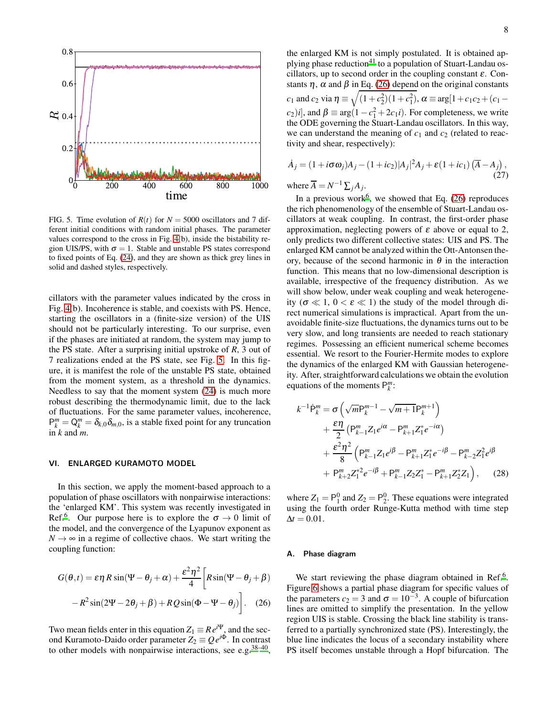

<span id="page-7-0"></span>FIG. 5. Time evolution of  $R(t)$  for  $N = 5000$  oscillators and 7 different initial conditions with random initial phases. The parameter values correspond to the cross in Fig. [4\(](#page-6-0)b), inside the bistability region UIS/PS, with  $\sigma = 1$ . Stable and unstable PS states correspond to fixed points of Eq. [\(24\)](#page-5-2), and they are shown as thick grey lines in solid and dashed styles, respectively.

cillators with the parameter values indicated by the cross in Fig. [4\(](#page-6-0)b). Incoherence is stable, and coexists with PS. Hence, starting the oscillators in a (finite-size version) of the UIS should not be particularly interesting. To our surprise, even if the phases are initiated at random, the system may jump to the PS state. After a surprising initial upstroke of *R*, 3 out of 7 realizations ended at the PS state, see Fig. [5.](#page-7-0) In this figure, it is manifest the role of the unstable PS state, obtained from the moment system, as a threshold in the dynamics. Needless to say that the moment system [\(24\)](#page-5-2) is much more robust describing the thermodynamic limit, due to the lack of fluctuations. For the same parameter values, incoherence,  $P_k^m = Q_k^m = \delta_{k,0} \delta_{m,0}$ , is a stable fixed point for any truncation in *k* and *m*.

# VI. ENLARGED KURAMOTO MODEL

In this section, we apply the moment-based approach to a population of phase oscillators with nonpairwise interactions: the 'enlarged KM'. This system was recently investigated in Ref.<sup>[6](#page-10-5)</sup>. Our purpose here is to explore the  $\sigma \to 0$  limit of the model, and the convergence of the Lyapunov exponent as  $N \rightarrow \infty$  in a regime of collective chaos. We start writing the coupling function:

$$
G(\theta, t) = \varepsilon \eta R \sin(\Psi - \theta_j + \alpha) + \frac{\varepsilon^2 \eta^2}{4} \left[ R \sin(\Psi - \theta_j + \beta) - R^2 \sin(2\Psi - 2\theta_j + \beta) + RQ \sin(\Phi - \Psi - \theta_j) \right].
$$
 (26)

Two mean fields enter in this equation  $Z_1 \equiv Re^{i\Psi}$ , and the second Kuramoto-Daido order parameter  $Z_2 \equiv Q e^{i\Phi}$ . In contrast to other models with nonpairwise interactions, see e.g.<sup>[38](#page-11-22)-40</sup>, the enlarged KM is not simply postulated. It is obtained ap-plying phase reduction<sup>[41](#page-11-24)</sup> to a population of Stuart-Landau oscillators, up to second order in the coupling constant  $\varepsilon$ . Constants  $\eta$ ,  $\alpha$  and  $\beta$  in Eq. [\(26\)](#page-7-1) depend on the original constants  $c_1$  and  $c_2$  via  $\eta \equiv \sqrt{(1+c_2^2)(1+c_1^2)}$ ,  $\alpha \equiv \arg[1+c_1c_2+(c_1-d_2)]$  $(c_2)$ *i*], and  $\beta \equiv \arg(1 - c_1^2 + 2c_1 i)$ . For completeness, we write the ODE governing the Stuart-Landau oscillators. In this way, we can understand the meaning of  $c_1$  and  $c_2$  (related to reactivity and shear, respectively):

$$
\dot{A}_j = (1 + i\sigma\omega_j)A_j - (1 + ic_2)|A_j|^2A_j + \varepsilon(1 + ic_1)\left(\overline{A} - A_j\right),
$$
  
where  $\overline{A} = N^{-1}\Sigma A$ . (27)

where  $A = N$  $^{-1}$  $\sum_j A_j$ .

In a previous work<sup>[6](#page-10-5)</sup>, we showed that Eq.  $(26)$  reproduces the rich phenomenology of the ensemble of Stuart-Landau oscillators at weak coupling. In contrast, the first-order phase approximation, neglecting powers of  $\varepsilon$  above or equal to 2, only predicts two different collective states: UIS and PS. The enlarged KM cannot be analyzed within the Ott-Antonsen theory, because of the second harmonic in  $\theta$  in the interaction function. This means that no low-dimensional description is available, irrespective of the frequency distribution. As we will show below, under weak coupling and weak heterogeneity ( $\sigma \ll 1$ ,  $0 < \varepsilon \ll 1$ ) the study of the model through direct numerical simulations is impractical. Apart from the unavoidable finite-size fluctuations, the dynamics turns out to be very slow, and long transients are needed to reach stationary regimes. Possessing an efficient numerical scheme becomes essential. We resort to the Fourier-Hermite modes to explore the dynamics of the enlarged KM with Gaussian heterogeneity. After, straightforward calculations we obtain the evolution equations of the moments  $P_k^m$ :

<span id="page-7-2"></span>
$$
k^{-1} \dot{P}_{k}^{m} = \sigma \left( \sqrt{m} P_{k}^{m-1} - \sqrt{m+1} P_{k}^{m+1} \right) + \frac{\varepsilon \eta}{2} \left( P_{k-1}^{m} Z_{1} e^{i\alpha} - P_{k+1}^{m} Z_{1}^{*} e^{-i\alpha} \right) + \frac{\varepsilon^{2} \eta^{2}}{8} \left( P_{k-1}^{m} Z_{1} e^{i\beta} - P_{k+1}^{m} Z_{1}^{*} e^{-i\beta} - P_{k-2}^{m} Z_{1}^{2} e^{i\beta} + P_{k+2}^{m} Z_{1}^{*2} e^{-i\beta} + P_{k-1}^{m} Z_{2} Z_{1}^{*} - P_{k+1}^{m} Z_{2}^{*} Z_{1} \right), \quad (28)
$$

where  $Z_1 = P_1^0$  and  $Z_2 = P_2^0$ . These equations were integrated using the fourth order Runge-Kutta method with time step  $\Delta t = 0.01$ .

#### A. Phase diagram

<span id="page-7-1"></span>We start reviewing the phase diagram obtained in Ref.<sup>[6](#page-10-5)</sup>. Figure [6](#page-8-0) shows a partial phase diagram for specific values of the parameters  $c_2 = 3$  and  $\sigma = 10^{-3}$ . A couple of bifurcation lines are omitted to simplify the presentation. In the yellow region UIS is stable. Crossing the black line stability is transferred to a partially synchronized state (PS). Interestingly, the blue line indicates the locus of a secondary instability where PS itself becomes unstable through a Hopf bifurcation. The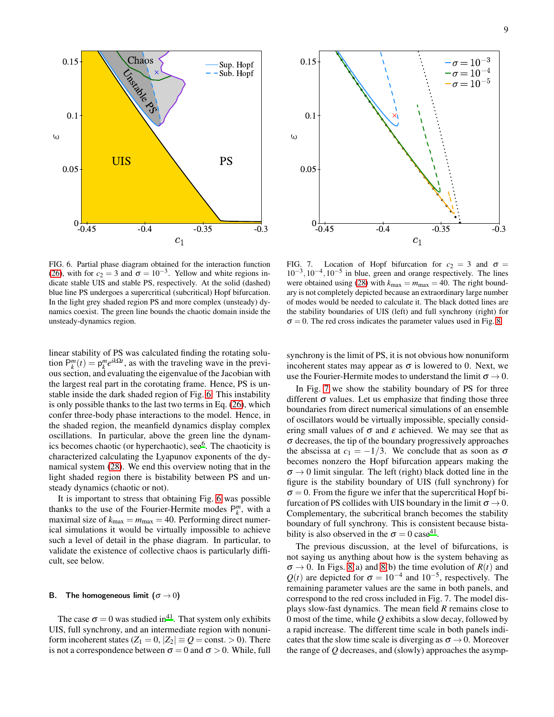

<span id="page-8-0"></span>FIG. 6. Partial phase diagram obtained for the interaction function [\(26\)](#page-7-1), with for  $c_2 = 3$  and  $\sigma = 10^{-3}$ . Yellow and white regions indicate stable UIS and stable PS, respectively. At the solid (dashed) blue line PS undergoes a supercritical (subcritical) Hopf bifurcation. In the light grey shaded region PS and more complex (unsteady) dynamics coexist. The green line bounds the chaotic domain inside the unsteady-dynamics region.

linear stability of PS was calculated finding the rotating solution  $P_k^m(t) = p_k^m e^{ik\Omega t}$ , as with the traveling wave in the previous section, and evaluating the eigenvalue of the Jacobian with the largest real part in the corotating frame. Hence, PS is unstable inside the dark shaded region of Fig. [6.](#page-8-0) This instability is only possible thanks to the last two terms in Eq. [\(26\)](#page-7-1), which confer three-body phase interactions to the model. Hence, in the shaded region, the meanfield dynamics display complex oscillations. In particular, above the green line the dynam-ics becomes chaotic (or hyperchaotic), see<sup>[6](#page-10-5)</sup>. The chaoticity is characterized calculating the Lyapunov exponents of the dynamical system [\(28\)](#page-7-2). We end this overview noting that in the light shaded region there is bistability between PS and unsteady dynamics (chaotic or not).

It is important to stress that obtaining Fig. [6](#page-8-0) was possible thanks to the use of the Fourier-Hermite modes  $P_k^m$ , with a maximal size of  $k_{\text{max}} = m_{\text{max}} = 40$ . Performing direct numerical simulations it would be virtually impossible to achieve such a level of detail in the phase diagram. In particular, to validate the existence of collective chaos is particularly difficult, see below.

# B. The homogeneous limit  $(\sigma \rightarrow 0)$

The case  $\sigma = 0$  was studied in<sup>[41](#page-11-24)</sup>. That system only exhibits UIS, full synchrony, and an intermediate region with nonuniform incoherent states  $(Z_1 = 0, |Z_2| \equiv Q = \text{const.} > 0)$ . There is not a correspondence between  $\sigma = 0$  and  $\sigma > 0$ . While, full



<span id="page-8-1"></span>FIG. 7. Location of Hopf bifurcation for  $c_2 = 3$  and  $\sigma =$ 10<sup>-3</sup>, 10<sup>-4</sup>, 10<sup>-5</sup> in blue, green and orange respectively. The lines were obtained using [\(28\)](#page-7-2) with  $k_{\text{max}} = m_{\text{max}} = 40$ . The right boundary is not completely depicted because an extraordinary large number of modes would be needed to calculate it. The black dotted lines are the stability boundaries of UIS (left) and full synchrony (right) for  $\sigma = 0$ . The red cross indicates the parameter values used in Fig. [8.](#page-9-0)

synchrony is the limit of PS, it is not obvious how nonuniform incoherent states may appear as  $\sigma$  is lowered to 0. Next, we use the Fourier-Hermite modes to understand the limit  $\sigma \rightarrow 0$ .

In Fig. [7](#page-8-1) we show the stability boundary of PS for three different  $\sigma$  values. Let us emphasize that finding those three boundaries from direct numerical simulations of an ensemble of oscillators would be virtually impossible, specially considering small values of  $\sigma$  and  $\varepsilon$  achieved. We may see that as  $\sigma$  decreases, the tip of the boundary progressively approaches the abscissa at  $c_1 = -1/3$ . We conclude that as soon as  $\sigma$ becomes nonzero the Hopf bifurcation appears making the  $\sigma \rightarrow 0$  limit singular. The left (right) black dotted line in the figure is the stability boundary of UIS (full synchrony) for  $\sigma = 0$ . From the figure we infer that the supercritical Hopf bifurcation of PS collides with UIS boundary in the limit  $\sigma \rightarrow 0$ . Complementary, the subcritical branch becomes the stability boundary of full synchrony. This is consistent because bistability is also observed in the  $\sigma = 0$  case<sup>[41](#page-11-24)</sup>.

The previous discussion, at the level of bifurcations, is not saying us anything about how is the system behaving as  $\sigma \rightarrow 0$ . In Figs. [8\(](#page-9-0)a) and 8(b) the time evolution of  $R(t)$  and  $Q(t)$  are depicted for  $\sigma = 10^{-4}$  and  $10^{-5}$ , respectively. The remaining parameter values are the same in both panels, and correspond to the red cross included in Fig. 7. The model displays slow-fast dynamics. The mean field *R* remains close to 0 most of the time, while *Q* exhibits a slow decay, followed by a rapid increase. The different time scale in both panels indicates that the slow time scale is diverging as  $\sigma \rightarrow 0$ . Moreover the range of *Q* decreases, and (slowly) approaches the asymp-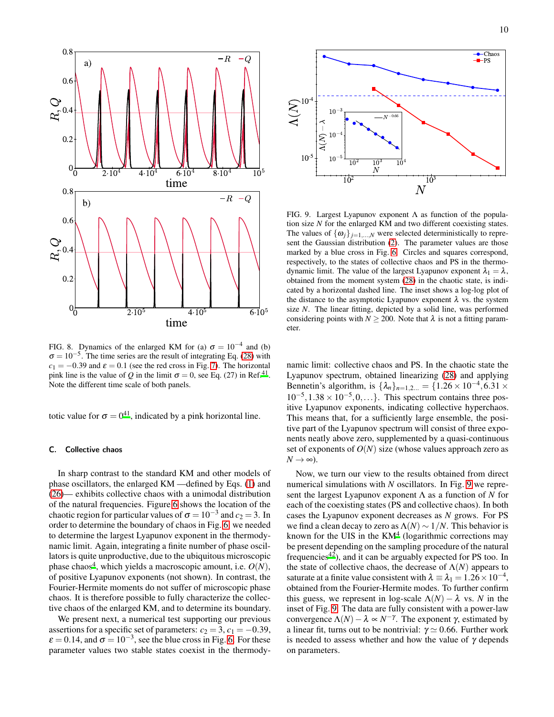

<span id="page-9-0"></span>FIG. 8. Dynamics of the enlarged KM for (a)  $\sigma = 10^{-4}$  and (b)  $\sigma = 10^{-5}$ . The time series are the result of integrating Eq. [\(28\)](#page-7-2) with  $c_1 = -0.39$  and  $\varepsilon = 0.1$  (see the red cross in Fig. [7\)](#page-8-1). The horizontal pink line is the value of *Q* in the limit  $\sigma = 0$ , see Eq. (27) in Ref.<sup>[41](#page-11-24)</sup>. Note the different time scale of both panels.

totic value for  $\sigma = 0^{41}$  $\sigma = 0^{41}$  $\sigma = 0^{41}$ , indicated by a pink horizontal line.

# C. Collective chaos

In sharp contrast to the standard KM and other models of phase oscillators, the enlarged KM —defined by Eqs. [\(1\)](#page-1-0) and [\(26\)](#page-7-1)— exhibits collective chaos with a unimodal distribution of the natural frequencies. Figure [6](#page-8-0) shows the location of the chaotic region for particular values of  $\sigma = 10^{-3}$  and  $c_2 = 3$ . In order to determine the boundary of chaos in Fig. [6,](#page-8-0) we needed to determine the largest Lyapunov exponent in the thermodynamic limit. Again, integrating a finite number of phase oscillators is quite unproductive, due to the ubiquitous microscopic phase chaos<sup>[4](#page-10-3)</sup>, which yields a macroscopic amount, i.e.  $O(N)$ , of positive Lyapunov exponents (not shown). In contrast, the Fourier-Hermite moments do not suffer of microscopic phase chaos. It is therefore possible to fully characterize the collective chaos of the enlarged KM, and to determine its boundary.

We present next, a numerical test supporting our previous assertions for a specific set of parameters:  $c_2 = 3$ ,  $c_1 = -0.39$ ,  $\varepsilon = 0.14$ , and  $\sigma = 10^{-3}$ , see the blue cross in Fig. [6.](#page-8-0) For these parameter values two stable states coexist in the thermody-



<span id="page-9-1"></span>FIG. 9. Largest Lyapunov exponent Λ as function of the population size *N* for the enlarged KM and two different coexisting states. The values of  $\{\omega_j\}_{j=1,\dots,N}$  were selected deterministically to represent the Gaussian distribution [\(2\)](#page-1-1). The parameter values are those marked by a blue cross in Fig. [6.](#page-8-0) Circles and squares correspond, respectively, to the states of collective chaos and PS in the thermodynamic limit. The value of the largest Lyapunov exponent  $\lambda_1 = \lambda$ , obtained from the moment system [\(28\)](#page-7-2) in the chaotic state, is indicated by a horizontal dashed line. The inset shows a log-log plot of the distance to the asymptotic Lyapunov exponent  $\lambda$  vs. the system size *N*. The linear fitting, depicted by a solid line, was performed considering points with  $N \ge 200$ . Note that  $\lambda$  is not a fitting parameter.

namic limit: collective chaos and PS. In the chaotic state the Lyapunov spectrum, obtained linearizing [\(28\)](#page-7-2) and applying Bennetin's algorithm, is  $\{\lambda_n\}_{n=1,2...} = \{1.26 \times 10^{-4}, 6.31 \times$  $10^{-5}$ ,  $1.38 \times 10^{-5}$ , 0, ... }. This spectrum contains three positive Lyapunov exponents, indicating collective hyperchaos. This means that, for a sufficiently large ensemble, the positive part of the Lyapunov spectrum will consist of three exponents neatly above zero, supplemented by a quasi-continuous set of exponents of  $O(N)$  size (whose values approach zero as  $N \rightarrow \infty$ ).

Now, we turn our view to the results obtained from direct numerical simulations with *N* oscillators. In Fig. [9](#page-9-1) we represent the largest Lyapunov exponent Λ as a function of *N* for each of the coexisting states (PS and collective chaos). In both cases the Lyapunov exponent decreases as *N* grows. For PS we find a clean decay to zero as  $\Lambda(N) \sim 1/N$ . This behavior is known for the UIS in the  $KM^4$  $KM^4$  (logarithmic corrections may be present depending on the sampling procedure of the natural frequencies<sup>[42](#page-11-25)</sup>), and it can be arguably expected for PS too. In the state of collective chaos, the decrease of  $\Lambda(N)$  appears to saturate at a finite value consistent with  $\lambda = \lambda_1 = 1.26 \times 10^{-4}$ , obtained from the Fourier-Hermite modes. To further confirm this guess, we represent in log-scale  $\Lambda(N) - \lambda$  vs. *N* in the inset of Fig. [9.](#page-9-1) The data are fully consistent with a power-law convergence  $\Lambda(N) - \lambda \propto N^{-\gamma}$ . The exponent  $\gamma$ , estimated by a linear fit, turns out to be nontrivial:  $\gamma \simeq 0.66$ . Further work is needed to assess whether and how the value of  $\gamma$  depends on parameters.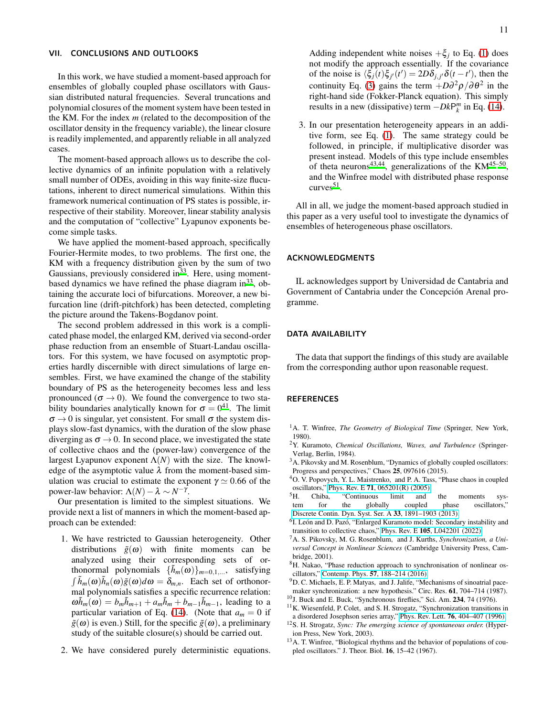# VII. CONCLUSIONS AND OUTLOOKS

In this work, we have studied a moment-based approach for ensembles of globally coupled phase oscillators with Gaussian distributed natural frequencies. Several truncations and polynomial closures of the moment system have been tested in the KM. For the index *m* (related to the decomposition of the oscillator density in the frequency variable), the linear closure is readily implemented, and apparently reliable in all analyzed cases.

The moment-based approach allows us to describe the collective dynamics of an infinite population with a relatively small number of ODEs, avoiding in this way finite-size flucutations, inherent to direct numerical simulations. Within this framework numerical continuation of PS states is possible, irrespective of their stability. Moreover, linear stability analysis and the computation of "collective" Lyapunov exponents become simple tasks.

We have applied the moment-based approach, specifically Fourier-Hermite modes, to two problems. The first one, the KM with a frequency distribution given by the sum of two Gaussians, previously considered in  $33$ . Here, using momentbased dynamics we have refined the phase diagram  $in<sup>33</sup>$  $in<sup>33</sup>$  $in<sup>33</sup>$ , obtaining the accurate loci of bifurcations. Moreover, a new bifurcation line (drift-pitchfork) has been detected, completing the picture around the Takens-Bogdanov point.

The second problem addressed in this work is a complicated phase model, the enlarged KM, derived via second-order phase reduction from an ensemble of Stuart-Landau oscillators. For this system, we have focused on asymptotic properties hardly discernible with direct simulations of large ensembles. First, we have examined the change of the stability boundary of PS as the heterogeneity becomes less and less pronounced ( $\sigma \rightarrow 0$ ). We found the convergence to two stability boundaries analytically known for  $\sigma = 0^{41}$  $\sigma = 0^{41}$  $\sigma = 0^{41}$ . The limit  $\sigma \rightarrow 0$  is singular, yet consistent. For small  $\sigma$  the system displays slow-fast dynamics, with the duration of the slow phase diverging as  $\sigma \rightarrow 0$ . In second place, we investigated the state of collective chaos and the (power-law) convergence of the largest Lyapunov exponent  $\Lambda(N)$  with the size. The knowledge of the asymptotic value  $\lambda$  from the moment-based simulation was crucial to estimate the exponent  $\gamma \simeq 0.66$  of the power-law behavior:  $\Lambda(N) - \lambda \sim N^{-\gamma}$ .

Our presentation is limited to the simplest situations. We provide next a list of manners in which the moment-based approach can be extended:

- 1. We have restricted to Gaussian heterogeneity. Other distributions  $\tilde{g}(\omega)$  with finite moments can be analyzed using their corresponding sets of orthonormal polynomials  $\{h_m(\omega)\}_{m=0,1,\dots}$ , satisfying  $\int \tilde{h}_m(\omega)\tilde{h}_n(\omega)\tilde{g}(\omega)d\omega = \delta_{m,n}$ . Each set of orthonormal polynomials satisfies a specific recurrence relation:  $\omega \tilde{h}_m(\omega) = b_m \tilde{h}_{m+1} + a_m \tilde{h}_m + b_{m-1} \tilde{h}_{m-1}$ , leading to a particular variation of Eq. [\(14\)](#page-2-4). (Note that  $a_m = 0$  if  $\tilde{g}(\omega)$  is even.) Still, for the specific  $\tilde{g}(\omega)$ , a preliminary study of the suitable closure(s) should be carried out.
- 2. We have considered purely deterministic equations.

Adding independent white noises  $+\xi_j$  to Eq. [\(1\)](#page-1-0) does not modify the approach essentially. If the covariance of the noise is  $\langle \xi_j(t) \xi_{j'}(t') \rangle = 2D\delta_{j,j'} \delta(t-t')$ , then the continuity Eq. [\(3\)](#page-2-0) gains the term  $+D\partial^2 \rho/\partial\theta^2$  in the right-hand side (Fokker-Planck equation). This simply results in a new (dissipative) term  $-DkP_k^m$  in Eq. [\(14\)](#page-2-4).

3. In our presentation heterogeneity appears in an additive form, see Eq. [\(1\)](#page-1-0). The same strategy could be followed, in principle, if multiplicative disorder was present instead. Models of this type include ensembles of theta neurons<sup>[43](#page-11-26)[,44](#page-11-27)</sup>, generalizations of the  $KM^{45-50}$  $KM^{45-50}$  $KM^{45-50}$ , and the Winfree model with distributed phase response  $curves<sup>51</sup>$  $curves<sup>51</sup>$  $curves<sup>51</sup>$ .

All in all, we judge the moment-based approach studied in this paper as a very useful tool to investigate the dynamics of ensembles of heterogeneous phase oscillators.

# ACKNOWLEDGMENTS

IL acknowledges support by Universidad de Cantabria and Government of Cantabria under the Concepción Arenal programme.

# DATA AVAILABILITY

The data that support the findings of this study are available from the corresponding author upon reasonable request.

# **REFERENCES**

- <span id="page-10-0"></span><sup>1</sup>A. T. Winfree, *The Geometry of Biological Time* (Springer, New York, 1980).
- <span id="page-10-1"></span><sup>2</sup>Y. Kuramoto, *Chemical Oscillations, Waves, and Turbulence* (Springer-Verlag, Berlin, 1984).
- <span id="page-10-2"></span><sup>3</sup>A. Pikovsky and M. Rosenblum, "Dynamics of globally coupled oscillators: Progress and perspectives," Chaos 25, 097616 (2015).
- <span id="page-10-3"></span><sup>4</sup>O. V. Popovych, Y. L. Maistrenko, and P. A. Tass, "Phase chaos in coupled oscillators," Phys. Rev. E 71[, 065201\(R\) \(2005\).](http://dx.doi.org/10.1103/PhysRevE.71.065201)
- <span id="page-10-4"></span><sup>5</sup>H. Chiba, "Continuous limit and the moments system for the globally coupled phase oscillators," [Discrete Contin. Dyn. Syst. Ser. A](http://dx.doi.org/10.3934/dcds.2013.33.1891) 33, 1891–1903 (2013).
- <span id="page-10-5"></span><sup>6</sup>I. León and D. Pazó, "Enlarged Kuramoto model: Secondary instability and transition to collective chaos," Phys. Rev. E 105[, L042201 \(2022\).](http://dx.doi.org/10.1103/PhysRevE.105.L042201)
- <span id="page-10-6"></span><sup>7</sup>A. S. Pikovsky, M. G. Rosenblum, and J. Kurths, *Synchronization, a Universal Concept in Nonlinear Sciences* (Cambridge University Press, Cambridge, 2001).
- <span id="page-10-7"></span><sup>8</sup>H. Nakao, "Phase reduction approach to synchronisation of nonlinear oscillators," Contemp. Phys. 57[, 188–214 \(2016\).](http://dx.doi.org/ 10.1080/00107514.2015.1094987)
- <span id="page-10-8"></span><sup>9</sup>D. C. Michaels, E. P. Matyas, and J. Jalife, "Mechanisms of sinoatrial pacemaker synchronization: a new hypothesis." Circ. Res. 61, 704–714 (1987).
- <span id="page-10-9"></span><sup>10</sup>J. Buck and E. Buck, "Synchronous fireflies," Sci. Am. **234**, 74 (1976).
- <span id="page-10-10"></span><sup>11</sup>K. Wiesenfeld, P. Colet, and S. H. Strogatz, "Synchronization transitions in a disordered Josephson series array," Phys. Rev. Lett. 76[, 404–407 \(1996\).](http://dx.doi.org/ 10.1103/PhysRevLett.76.404)
- <span id="page-10-11"></span><sup>12</sup>S. H. Strogatz, *Sync: The emerging science of spontaneous order.* (Hyperion Press, New York, 2003).
- <span id="page-10-12"></span><sup>13</sup>A. T. Winfree, "Biological rhythms and the behavior of populations of coupled oscillators." J. Theor. Biol. 16, 15–42 (1967).